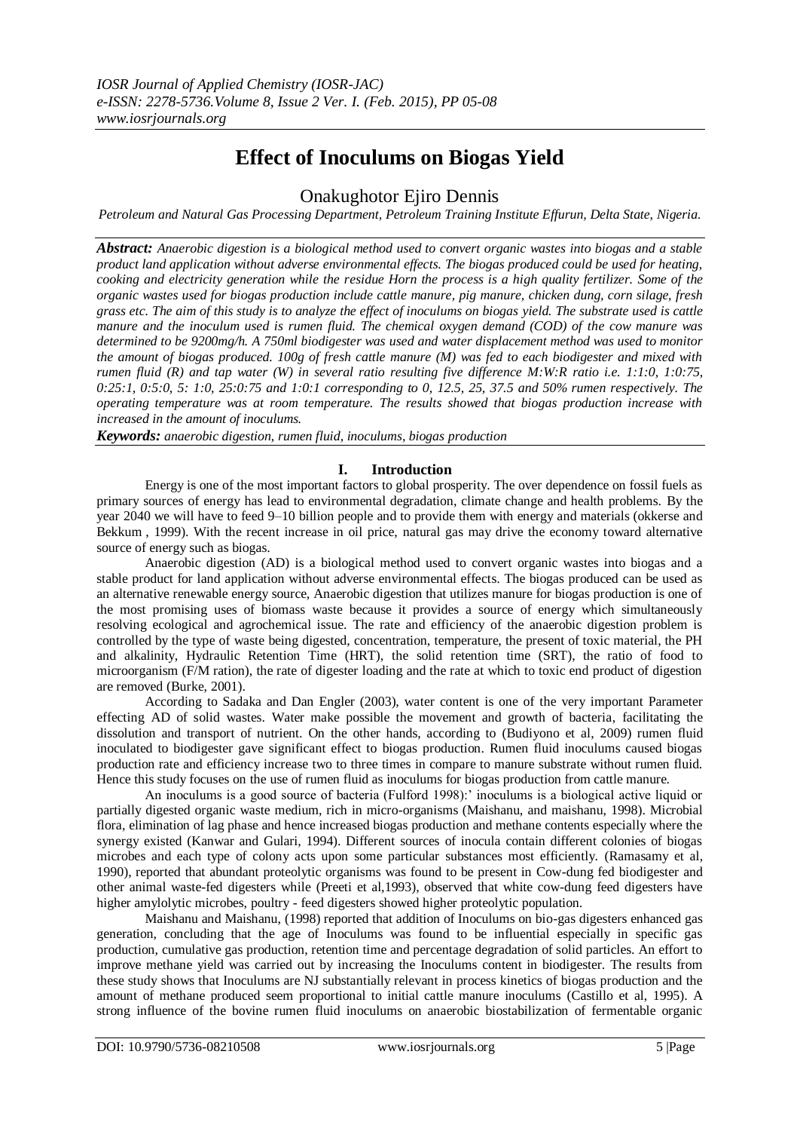# **Effect of Inoculums on Biogas Yield**

Onakughotor Ejiro Dennis

*Petroleum and Natural Gas Processing Department, Petroleum Training Institute Effurun, Delta State, Nigeria.*

*Abstract: Anaerobic digestion is a biological method used to convert organic wastes into biogas and a stable product land application without adverse environmental effects. The biogas produced could be used for heating, cooking and electricity generation while the residue Horn the process is a high quality fertilizer. Some of the organic wastes used for biogas production include cattle manure, pig manure, chicken dung, corn silage, fresh grass etc. The aim of this study is to analyze the effect of inoculums on biogas yield. The substrate used is cattle manure and the inoculum used is rumen fluid. The chemical oxygen demand (COD) of the cow manure was determined to be 9200mg/h. A 750ml biodigester was used and water displacement method was used to monitor the amount of biogas produced. 100g of fresh cattle manure (M) was fed to each biodigester and mixed with rumen fluid (R) and tap water (W) in several ratio resulting five difference M:W:R ratio i.e. 1:1:0, 1:0:75, 0:25:1, 0:5:0, 5: 1:0, 25:0:75 and 1:0:1 corresponding to 0, 12.5, 25, 37.5 and 50% rumen respectively. The operating temperature was at room temperature. The results showed that biogas production increase with increased in the amount of inoculums.*

*Keywords: anaerobic digestion, rumen fluid, inoculums, biogas production*

## **I. Introduction**

Energy is one of the most important factors to global prosperity. The over dependence on fossil fuels as primary sources of energy has lead to environmental degradation, climate change and health problems. By the year 2040 we will have to feed 9–10 billion people and to provide them with energy and materials (okkerse and [Bekkum](http://pubs.rsc.org/en/results?searchtext=Author%3AH.%20van%20Bekkum) , 1999). With the recent increase in oil price, natural gas may drive the economy toward alternative source of energy such as biogas.

Anaerobic digestion (AD) is a biological method used to convert organic wastes into biogas and a stable product for land application without adverse environmental effects. The biogas produced can be used as an alternative renewable energy source, Anaerobic digestion that utilizes manure for biogas production is one of the most promising uses of biomass waste because it provides a source of energy which simultaneously resolving ecological and agrochemical issue. The rate and efficiency of the anaerobic digestion problem is controlled by the type of waste being digested, concentration, temperature, the present of toxic material, the PH and alkalinity, Hydraulic Retention Time (HRT), the solid retention time (SRT), the ratio of food to microorganism (F/M ration), the rate of digester loading and the rate at which to toxic end product of digestion are removed (Burke, 2001).

According to Sadaka and Dan Engler (2003), water content is one of the very important Parameter effecting AD of solid wastes. Water make possible the movement and growth of bacteria, facilitating the dissolution and transport of nutrient. On the other hands, according to (Budiyono et al, 2009) rumen fluid inoculated to biodigester gave significant effect to biogas production. Rumen fluid inoculums caused biogas production rate and efficiency increase two to three times in compare to manure substrate without rumen fluid. Hence this study focuses on the use of rumen fluid as inoculums for biogas production from cattle manure.

An inoculums is a good source of bacteria (Fulford 1998):" inoculums is a biological active liquid or partially digested organic waste medium, rich in micro-organisms (Maishanu, and maishanu, 1998). Microbial flora, elimination of lag phase and hence increased biogas production and methane contents especially where the synergy existed (Kanwar and Gulari, 1994). Different sources of inocula contain different colonies of biogas microbes and each type of colony acts upon some particular substances most efficiently. (Ramasamy et al, 1990), reported that abundant proteolytic organisms was found to be present in Cow-dung fed biodigester and other animal waste-fed digesters while (Preeti et al,1993), observed that white cow-dung feed digesters have higher amylolytic microbes, poultry - feed digesters showed higher proteolytic population.

Maishanu and Maishanu, (1998) reported that addition of Inoculums on bio-gas digesters enhanced gas generation, concluding that the age of Inoculums was found to be influential especially in specific gas production, cumulative gas production, retention time and percentage degradation of solid particles. An effort to improve methane yield was carried out by increasing the Inoculums content in biodigester. The results from these study shows that Inoculums are NJ substantially relevant in process kinetics of biogas production and the amount of methane produced seem proportional to initial cattle manure inoculums (Castillo et al, 1995). A strong influence of the bovine rumen fluid inoculums on anaerobic biostabilization of fermentable organic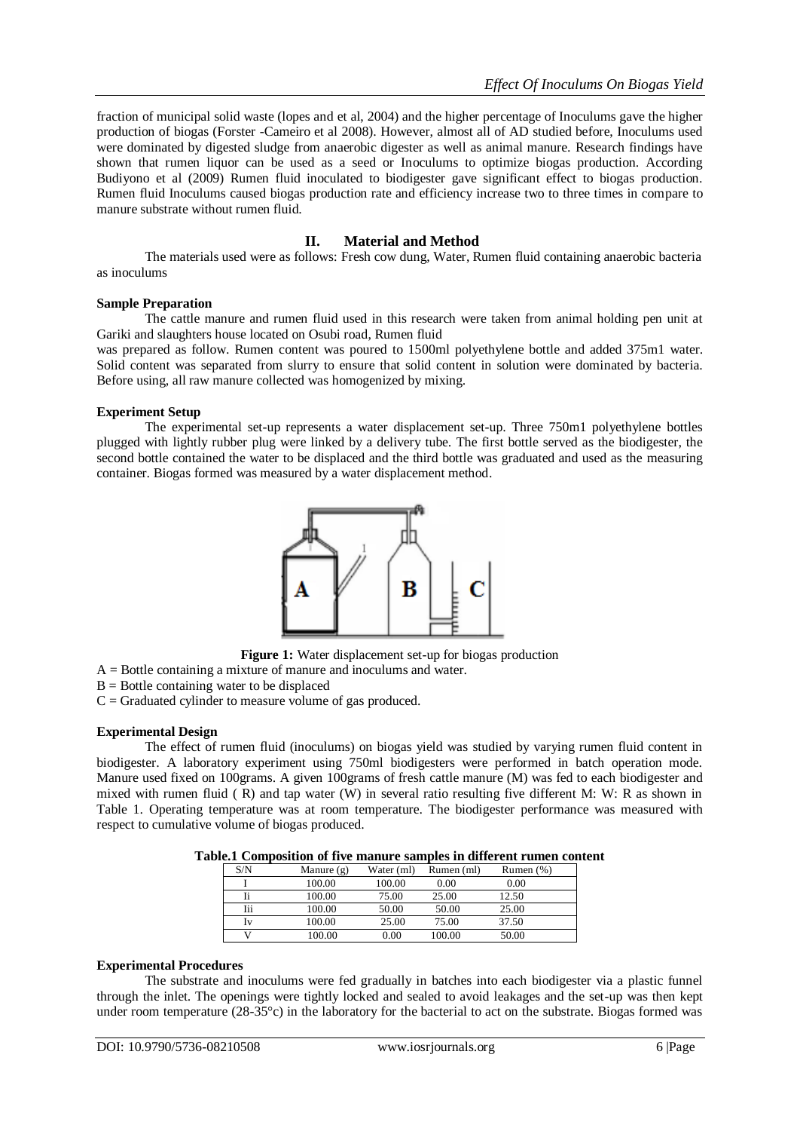fraction of municipal solid waste (lopes and et al, 2004) and the higher percentage of Inoculums gave the higher production of biogas (Forster -Cameiro et al 2008). However, almost all of AD studied before, Inoculums used were dominated by digested sludge from anaerobic digester as well as animal manure. Research findings have shown that rumen liquor can be used as a seed or Inoculums to optimize biogas production. According Budiyono et al (2009) Rumen fluid inoculated to biodigester gave significant effect to biogas production. Rumen fluid Inoculums caused biogas production rate and efficiency increase two to three times in compare to manure substrate without rumen fluid.

## **II. Material and Method**

The materials used were as follows: Fresh cow dung, Water, Rumen fluid containing anaerobic bacteria as inoculums

## **Sample Preparation**

The cattle manure and rumen fluid used in this research were taken from animal holding pen unit at Gariki and slaughters house located on Osubi road, Rumen fluid

was prepared as follow. Rumen content was poured to 1500ml polyethylene bottle and added 375m1 water. Solid content was separated from slurry to ensure that solid content in solution were dominated by bacteria. Before using, all raw manure collected was homogenized by mixing.

## **Experiment Setup**

The experimental set-up represents a water displacement set-up. Three 750m1 polyethylene bottles plugged with lightly rubber plug were linked by a delivery tube. The first bottle served as the biodigester, the second bottle contained the water to be displaced and the third bottle was graduated and used as the measuring container. Biogas formed was measured by a water displacement method.



**Figure 1:** Water displacement set-up for biogas production

- A = Bottle containing a mixture of manure and inoculums and water.
- $B =$  Bottle containing water to be displaced
- $C =$  Graduated cylinder to measure volume of gas produced.

## **Experimental Design**

The effect of rumen fluid (inoculums) on biogas yield was studied by varying rumen fluid content in biodigester. A laboratory experiment using 750ml biodigesters were performed in batch operation mode. Manure used fixed on 100grams. A given 100grams of fresh cattle manure (M) was fed to each biodigester and mixed with rumen fluid ( R) and tap water (W) in several ratio resulting five different M: W: R as shown in Table 1. Operating temperature was at room temperature. The biodigester performance was measured with respect to cumulative volume of biogas produced.

| Table.1 Composition of five manure samples in different rumen content |  |  |  |  |
|-----------------------------------------------------------------------|--|--|--|--|
|-----------------------------------------------------------------------|--|--|--|--|

| S/N | Manure $(g)$ | Water (ml) | Rumen (ml) | Rumen $(\%)$ |
|-----|--------------|------------|------------|--------------|
|     | 100.00       | 100.00     | 0.00       | 0.00         |
| Īi  | 100.00       | 75.00      | 25.00      | 12.50        |
| Iii | 100.00       | 50.00      | 50.00      | 25.00        |
| Iv  | 100.00       | 25.00      | 75.00      | 37.50        |
|     | 100.00       | 0.00       | 100.00     | 50.00        |

#### **Experimental Procedures**

The substrate and inoculums were fed gradually in batches into each biodigester via a plastic funnel through the inlet. The openings were tightly locked and sealed to avoid leakages and the set-up was then kept under room temperature (28-35°c) in the laboratory for the bacterial to act on the substrate. Biogas formed was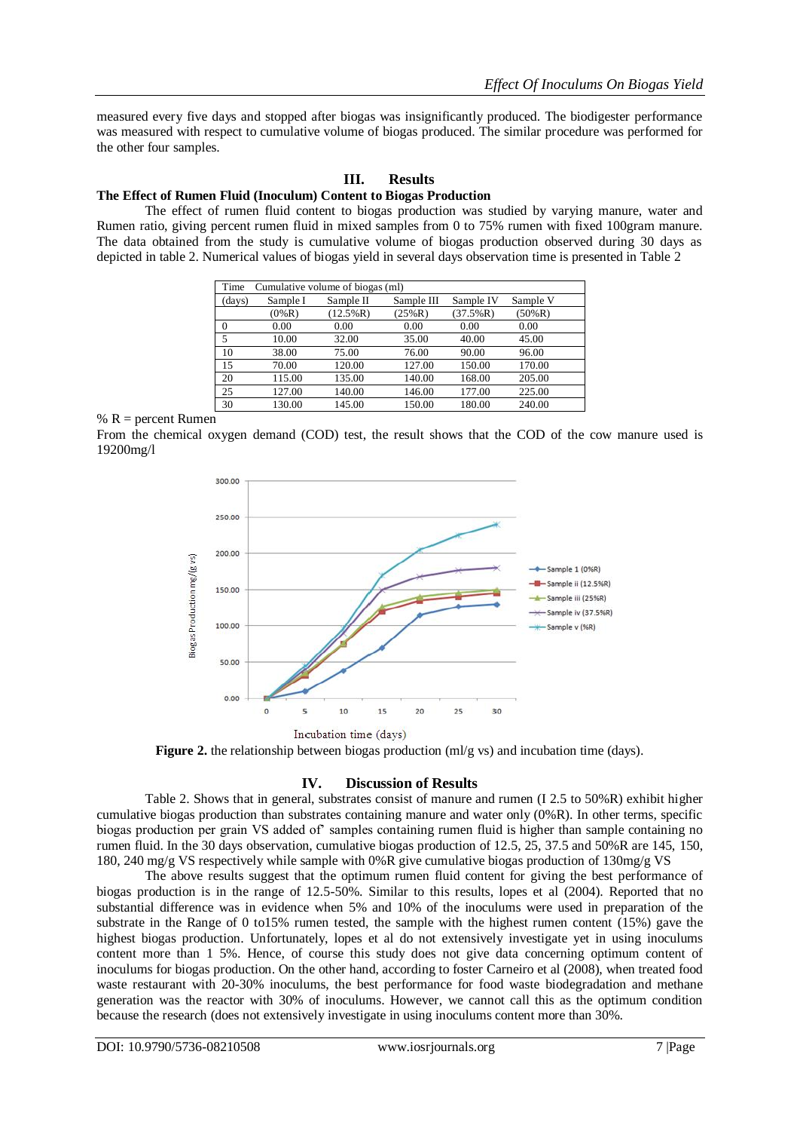measured every five days and stopped after biogas was insignificantly produced. The biodigester performance was measured with respect to cumulative volume of biogas produced. The similar procedure was performed for the other four samples.

## **III. Results**

## **The Effect of Rumen Fluid (Inoculum) Content to Biogas Production**

The effect of rumen fluid content to biogas production was studied by varying manure, water and Rumen ratio, giving percent rumen fluid in mixed samples from 0 to 75% rumen with fixed 100gram manure. The data obtained from the study is cumulative volume of biogas production observed during 30 days as depicted in table 2. Numerical values of biogas yield in several days observation time is presented in Table 2

| Time<br>Cumulative volume of biogas (ml) |          |             |            |             |           |  |
|------------------------------------------|----------|-------------|------------|-------------|-----------|--|
| (days)                                   | Sample I | Sample II   | Sample III | Sample IV   | Sample V  |  |
|                                          | $(0\%R)$ | $(12.5\%R)$ | (25%R)     | $(37.5\%R)$ | $(50\%R)$ |  |
| $\Omega$                                 | 0.00     | 0.00        | 0.00       | 0.00        | 0.00      |  |
| 5                                        | 10.00    | 32.00       | 35.00      | 40.00       | 45.00     |  |
| 10                                       | 38.00    | 75.00       | 76.00      | 90.00       | 96.00     |  |
| 15                                       | 70.00    | 120.00      | 127.00     | 150.00      | 170.00    |  |
| 20                                       | 115.00   | 135.00      | 140.00     | 168.00      | 205.00    |  |
| 25                                       | 127.00   | 140.00      | 146.00     | 177.00      | 225.00    |  |
| 30                                       | 130.00   | 145.00      | 150.00     | 180.00      | 240.00    |  |

#### %  $R =$  percent Rumen

From the chemical oxygen demand (COD) test, the result shows that the COD of the cow manure used is 19200mg/l



Incubation time (days)

**Figure 2.** the relationship between biogas production (ml/g vs) and incubation time (days).

## **IV. Discussion of Results**

Table 2. Shows that in general, substrates consist of manure and rumen (I 2.5 to 50%R) exhibit higher cumulative biogas production than substrates containing manure and water only (0%R). In other terms, specific biogas production per grain VS added of' samples containing rumen fluid is higher than sample containing no rumen fluid. In the 30 days observation, cumulative biogas production of 12.5, 25, 37.5 and 50%R are 145, 150, 180, 240 mg/g VS respectively while sample with 0%R give cumulative biogas production of 130mg/g VS

The above results suggest that the optimum rumen fluid content for giving the best performance of biogas production is in the range of 12.5-50%. Similar to this results, lopes et al (2004). Reported that no substantial difference was in evidence when 5% and 10% of the inoculums were used in preparation of the substrate in the Range of 0 to15% rumen tested, the sample with the highest rumen content (15%) gave the highest biogas production. Unfortunately, lopes et al do not extensively investigate yet in using inoculums content more than 1 5%. Hence, of course this study does not give data concerning optimum content of inoculums for biogas production. On the other hand, according to foster Carneiro et al (2008), when treated food waste restaurant with 20-30% inoculums, the best performance for food waste biodegradation and methane generation was the reactor with 30% of inoculums. However, we cannot call this as the optimum condition because the research (does not extensively investigate in using inoculums content more than 30%.